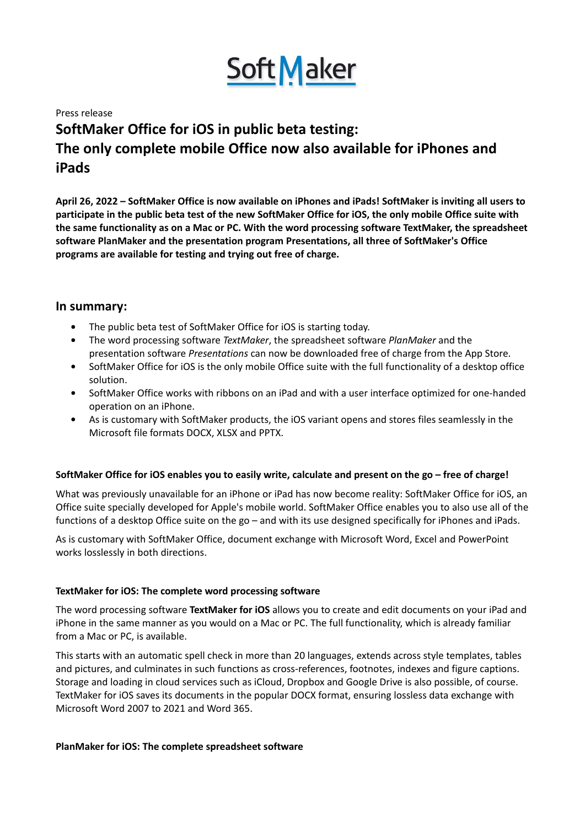

#### Press release

# **SoftMaker Office for iOS in public beta testing: The only complete mobile Office now also available for iPhones and iPads**

April 26, 2022 – SoftMaker Office is now available on iPhones and iPads! SoftMaker is inviting all users to participate in the public beta test of the new SoftMaker Office for iOS, the only mobile Office suite with **the same functionality as on a Mac or PC. With the word processing software TextMaker, the spreadsheet software PlanMaker and the presentation program Presentations, all three of SoftMaker's Office programs are available for testing and trying out free of charge.**

# **In summary:**

- The public beta test of SoftMaker Office for iOS is starting today.
- The word processing software *TextMaker*, the spreadsheet software *PlanMaker* and the presentation software *Presentations* can now be downloaded free of charge from the App Store.
- SoftMaker Office for iOS is the only mobile Office suite with the full functionality of a desktop office solution.
- SoftMaker Office works with ribbons on an iPad and with a user interface optimized for one-handed operation on an iPhone.
- As is customary with SoftMaker products, the iOS variant opens and stores files seamlessly in the Microsoft file formats DOCX, XLSX and PPTX.

## SoftMaker Office for iOS enables you to easily write, calculate and present on the go - free of charge!

What was previously unavailable for an iPhone or iPad has now become reality: SoftMaker Office for iOS, an Office suite specially developed for Apple's mobile world. SoftMaker Office enables you to also use all of the functions of a desktop Office suite on the go – and with its use designed specifically for iPhones and iPads.

As is customary with SoftMaker Office, document exchange with Microsoft Word, Excel and PowerPoint works losslessly in both directions.

## **TextMaker for iOS: The complete word processing software**

The word processing software **TextMaker for iOS** allows you to create and edit documents on your iPad and iPhone in the same manner as you would on a Mac or PC. The full functionality, which is already familiar from a Mac or PC, is available.

This starts with an automatic spell check in more than 20 languages, extends across style templates, tables and pictures, and culminates in such functions as cross-references, footnotes, indexes and figure captions. Storage and loading in cloud services such as iCloud, Dropbox and Google Drive is also possible, of course. TextMaker for iOS saves its documents in the popular DOCX format, ensuring lossless data exchange with Microsoft Word 2007 to 2021 and Word 365.

#### **PlanMaker for iOS: The complete spreadsheet software**